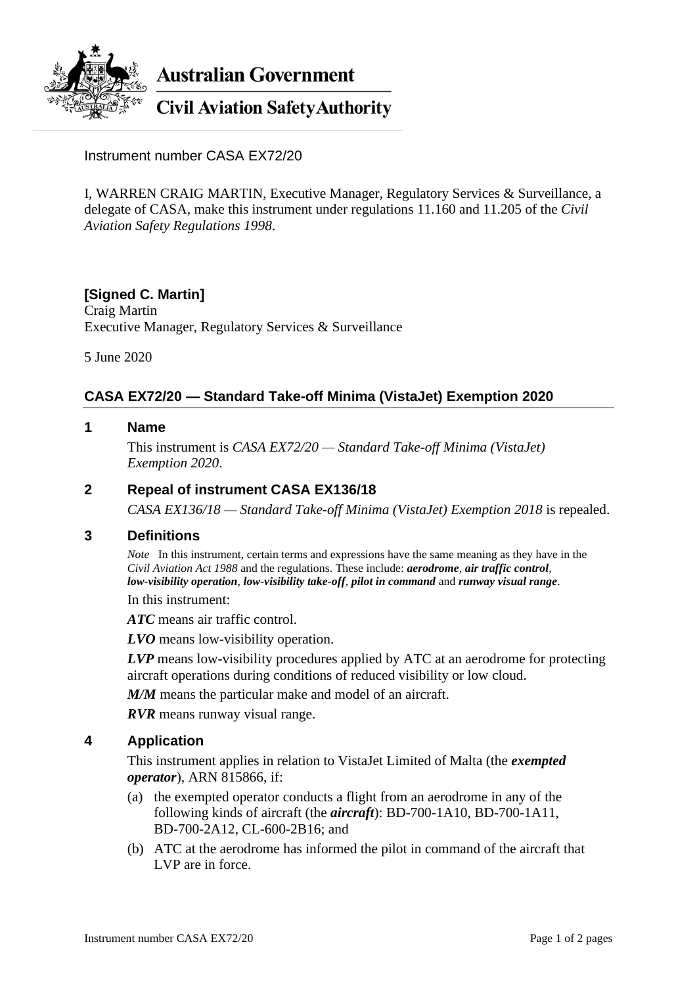

**Australian Government** 

**Civil Aviation Safety Authority** 

Instrument number CASA EX72/20

I, WARREN CRAIG MARTIN, Executive Manager, Regulatory Services & Surveillance, a delegate of CASA, make this instrument under regulations 11.160 and 11.205 of the *Civil Aviation Safety Regulations 1998*.

# **[Signed C. Martin]**

Craig Martin Executive Manager, Regulatory Services & Surveillance

5 June 2020

# **CASA EX72/20 — Standard Take-off Minima (VistaJet) Exemption 2020**

### **1 Name**

This instrument is *CASA EX72/20 — Standard Take-off Minima (VistaJet) Exemption 2020*.

#### **2 Repeal of instrument CASA EX136/18**

*CASA EX136/18 — Standard Take-off Minima (VistaJet) Exemption 2018* is repealed.

#### **3 Definitions**

*Note* In this instrument, certain terms and expressions have the same meaning as they have in the *Civil Aviation Act 1988* and the regulations. These include: *aerodrome*, *air traffic control*, *low-visibility operation*, *low-visibility take-off*, *pilot in command* and *runway visual range*.

In this instrument:

*ATC* means air traffic control.

*LVO* means low-visibility operation.

*LVP* means low-visibility procedures applied by ATC at an aerodrome for protecting aircraft operations during conditions of reduced visibility or low cloud.

*M/M* means the particular make and model of an aircraft.

*RVR* means runway visual range.

#### **4 Application**

This instrument applies in relation to VistaJet Limited of Malta (the *exempted operator*), ARN 815866, if:

- (a) the exempted operator conducts a flight from an aerodrome in any of the following kinds of aircraft (the *aircraft*): BD-700-1A10, BD-700-1A11, BD-700-2A12, CL-600-2B16; and
- (b) ATC at the aerodrome has informed the pilot in command of the aircraft that LVP are in force.